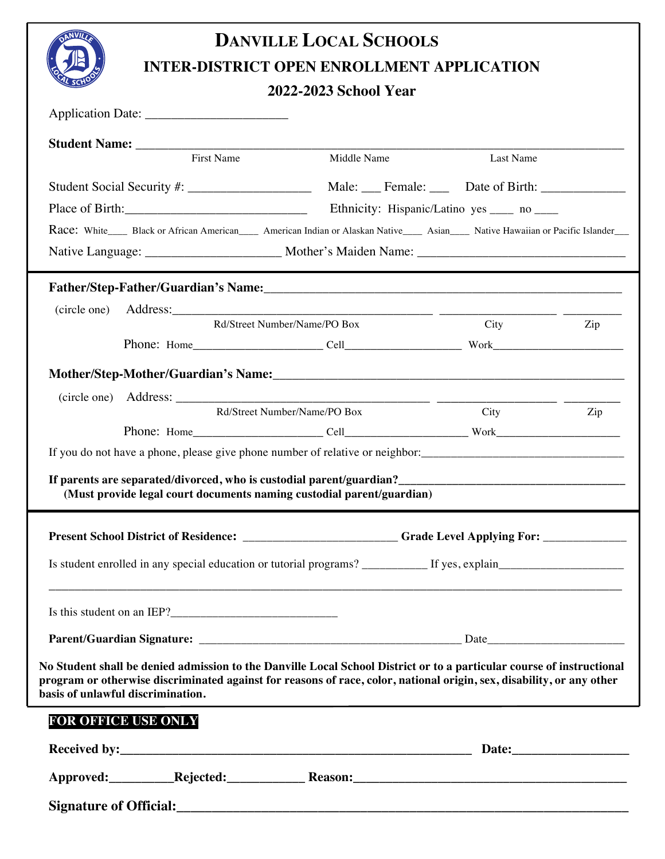

## **DANVILLE LOCAL SCHOOLS INTER-DISTRICT OPEN ENROLLMENT APPLICATION**

## **2022-2023 School Year**

|                                                                                                                                                                                                                                                                                     | 2022-2023 School Year        |                                              |     |
|-------------------------------------------------------------------------------------------------------------------------------------------------------------------------------------------------------------------------------------------------------------------------------------|------------------------------|----------------------------------------------|-----|
|                                                                                                                                                                                                                                                                                     |                              |                                              |     |
|                                                                                                                                                                                                                                                                                     |                              |                                              |     |
| First Name                                                                                                                                                                                                                                                                          | Middle Name                  | Last Name                                    |     |
|                                                                                                                                                                                                                                                                                     |                              |                                              |     |
|                                                                                                                                                                                                                                                                                     |                              | Ethnicity: Hispanic/Latino yes _____ no ____ |     |
| Race: White____ Black or African American____ American Indian or Alaskan Native____ Asian____ Native Hawaiian or Pacific Islander___                                                                                                                                                |                              |                                              |     |
|                                                                                                                                                                                                                                                                                     |                              |                                              |     |
| Father/Step-Father/Guardian's Name:<br><u>Father/Step-Father/Guardian's Name:</u>                                                                                                                                                                                                   |                              |                                              |     |
| (circle one)                                                                                                                                                                                                                                                                        |                              |                                              |     |
|                                                                                                                                                                                                                                                                                     | Rd/Street Number/Name/PO Box | City                                         | Zip |
|                                                                                                                                                                                                                                                                                     |                              |                                              |     |
| Mother/Step-Mother/Guardian's Name:                                                                                                                                                                                                                                                 |                              |                                              |     |
|                                                                                                                                                                                                                                                                                     |                              |                                              |     |
|                                                                                                                                                                                                                                                                                     | Rd/Street Number/Name/PO Box | City                                         | Zip |
|                                                                                                                                                                                                                                                                                     |                              |                                              |     |
|                                                                                                                                                                                                                                                                                     |                              |                                              |     |
| (Must provide legal court documents naming custodial parent/guardian)<br>Present School District of Residence: _______________________Grade Level Applying For: _____________                                                                                                       |                              |                                              |     |
|                                                                                                                                                                                                                                                                                     |                              |                                              |     |
|                                                                                                                                                                                                                                                                                     |                              |                                              |     |
|                                                                                                                                                                                                                                                                                     |                              |                                              |     |
| No Student shall be denied admission to the Danville Local School District or to a particular course of instructional<br>program or otherwise discriminated against for reasons of race, color, national origin, sex, disability, or any other<br>basis of unlawful discrimination. |                              |                                              |     |
| FOR OFFICE USE ONLY                                                                                                                                                                                                                                                                 |                              |                                              |     |
|                                                                                                                                                                                                                                                                                     |                              |                                              |     |
|                                                                                                                                                                                                                                                                                     |                              |                                              |     |